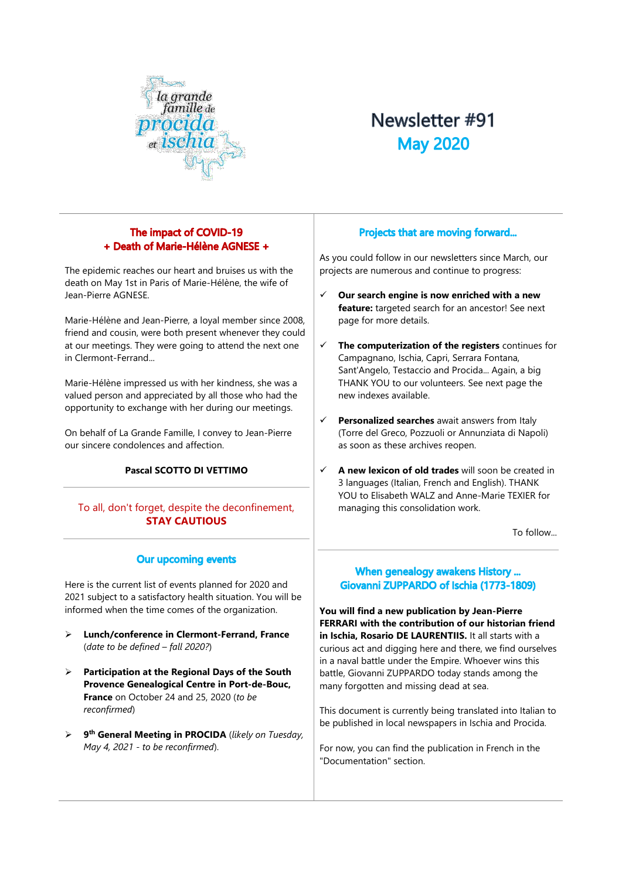

# Newsletter #91 **May 2020**

# The impact of COVID-19 + Death of Marie-Hélène AGNESE +

The epidemic reaches our heart and bruises us with the death on May 1st in Paris of Marie-Hélène, the wife of Jean-Pierre AGNESE.

Marie-Hélène and Jean-Pierre, a loyal member since 2008, friend and cousin, were both present whenever they could at our meetings. They were going to attend the next one in Clermont-Ferrand...

Marie-Hélène impressed us with her kindness, she was a valued person and appreciated by all those who had the opportunity to exchange with her during our meetings.

On behalf of La Grande Famille, I convey to Jean-Pierre our sincere condolences and affection.

# **Pascal SCOTTO DI VETTIMO**

To all, don't forget, despite the deconfinement, **STAY CAUTIOUS**

# **Our upcoming events**

Here is the current list of events planned for 2020 and 2021 subject to a satisfactory health situation. You will be informed when the time comes of the organization.

- ➢ **Lunch/conference in Clermont-Ferrand, France** (*date to be defined – fall 2020?*)
- ➢ **Participation at the Regional Days of the South Provence Genealogical Centre in Port-de-Bouc, France** on October 24 and 25, 2020 (*to be reconfirmed*)
- ➢ **9 th General Meeting in PROCIDA** (*likely on Tuesday, May 4, 2021 - to be reconfirmed*).

## Projects that are moving forward...

As you could follow in our newsletters since March, our projects are numerous and continue to progress:

- ✓ **Our search engine is now enriched with a new feature:** targeted search for an ancestor! See next page for more details.
- ✓ **The computerization of the registers** continues for Campagnano, Ischia, Capri, Serrara Fontana, Sant'Angelo, Testaccio and Procida... Again, a big THANK YOU to our volunteers. See next page the new indexes available.
- Personalized searches await answers from Italy (Torre del Greco, Pozzuoli or Annunziata di Napoli) as soon as these archives reopen.
- ✓ **A new lexicon of old trades** will soon be created in 3 languages (Italian, French and English). THANK YOU to Elisabeth WALZ and Anne-Marie TEXIER for managing this consolidation work.

To follow...

# When genealogy awakens History ... Giovanni ZUPPARDO of Ischia (1773-1809)

**You will find a new publication by Jean-Pierre FERRARI with the contribution of our historian friend in Ischia, Rosario DE LAURENTIIS.** It all starts with a curious act and digging here and there, we find ourselves in a naval battle under the Empire. Whoever wins this battle, Giovanni ZUPPARDO today stands among the many forgotten and missing dead at sea.

This document is currently being translated into Italian to be published in local newspapers in Ischia and Procida.

For now, you can find the publication in French in the "Documentation" section.